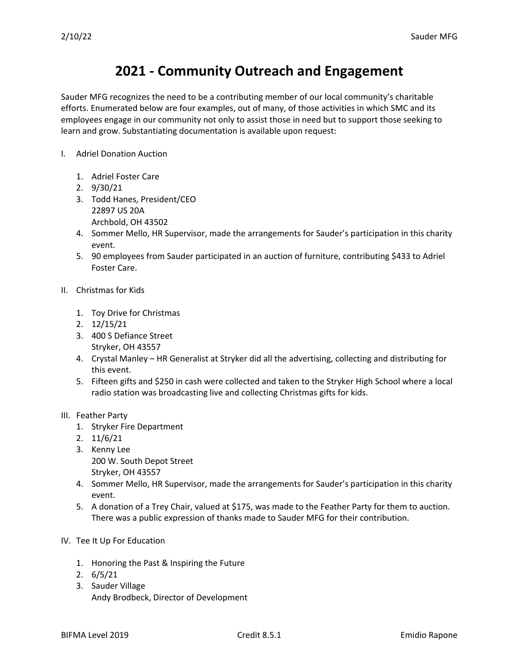## **2021 - Community Outreach and Engagement**

Sauder MFG recognizes the need to be a contributing member of our local community's charitable efforts. Enumerated below are four examples, out of many, of those activities in which SMC and its employees engage in our community not only to assist those in need but to support those seeking to learn and grow. Substantiating documentation is available upon request:

- I. Adriel Donation Auction
	- 1. Adriel Foster Care
	- 2. 9/30/21
	- 3. Todd Hanes, President/CEO 22897 US 20A Archbold, OH 43502
	- 4. Sommer Mello, HR Supervisor, made the arrangements for Sauder's participation in this charity event.
	- 5. 90 employees from Sauder participated in an auction of furniture, contributing \$433 to Adriel Foster Care.
- II. Christmas for Kids
	- 1. Toy Drive for Christmas
	- 2. 12/15/21
	- 3. 400 S Defiance Street Stryker, OH 43557
	- 4. Crystal Manley HR Generalist at Stryker did all the advertising, collecting and distributing for this event.
	- 5. Fifteen gifts and \$250 in cash were collected and taken to the Stryker High School where a local radio station was broadcasting live and collecting Christmas gifts for kids.

## III. Feather Party

- 1. Stryker Fire Department
- 2. 11/6/21
- 3. Kenny Lee 200 W. South Depot Street Stryker, OH 43557
- 4. Sommer Mello, HR Supervisor, made the arrangements for Sauder's participation in this charity event.
- 5. A donation of a Trey Chair, valued at \$175, was made to the Feather Party for them to auction. There was a public expression of thanks made to Sauder MFG for their contribution.
- IV. Tee It Up For Education
	- 1. Honoring the Past & Inspiring the Future
	- 2. 6/5/21
	- 3. Sauder Village Andy Brodbeck, Director of Development